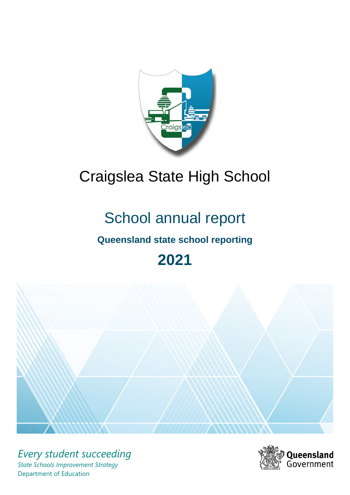

# Craigslea State High School

# School annual report

# **Queensland state school reporting**

# **2021**



*Every student succeeding State Schools Improvement Strategy* Department of Education

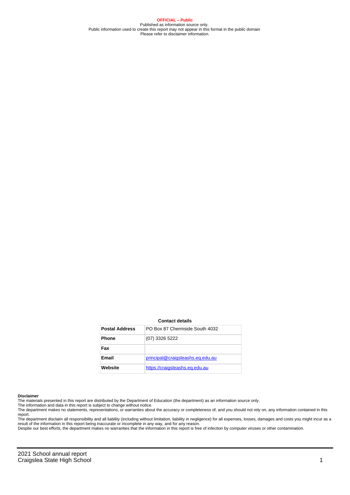**OFFICIAL – Public** Published as information source only. Public information used to create this report may not appear in this format in the public domain Please refer to disclaimer information.

#### **Contact details**

| <b>Postal Address</b> | PO Box 87 Chermside South 4032   |
|-----------------------|----------------------------------|
| <b>Phone</b>          | (07) 3326 5222                   |
| Fax                   |                                  |
| Email                 | principal@craigsleashs.eq.edu.au |
| Website               | https://craigsleashs.eg.edu.au   |

#### **Disclaimer**

The materials presented in this report are distributed by the Department of Education (the department) as an information source only.

The information and data in this report is subject to change without notice.<br>The department makes no statements, representations, or warranties about the accuracy or completeness of, and you should not rely on, any informa report. The department disclaim all responsibility and all liability (including without limitation, liability in negligence) for all expenses, losses, damages and costs you might incur as a

result of the information in this report being inaccurate or incomplete in any way, and for any reason.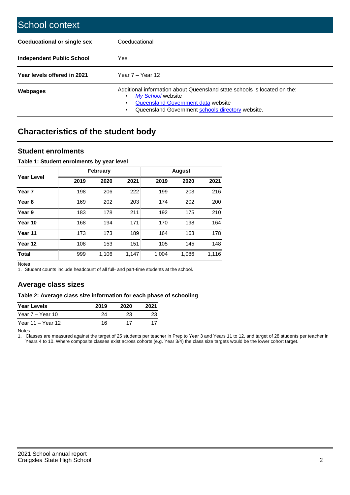| School context                     |                                                                                                                                                                                                   |
|------------------------------------|---------------------------------------------------------------------------------------------------------------------------------------------------------------------------------------------------|
| <b>Coeducational or single sex</b> | Coeducational                                                                                                                                                                                     |
| Independent Public School          | <b>Yes</b>                                                                                                                                                                                        |
| Year levels offered in 2021        | Year $7 -$ Year 12                                                                                                                                                                                |
| Webpages                           | Additional information about Queensland state schools is located on the:<br>My School website<br>٠<br>Queensland Government data website<br>Queensland Government schools directory website.<br>٠ |

# **Characteristics of the student body**

## **Student enrolments**

### **Table 1: Student enrolments by year level**

|                   |      | <b>February</b> |       | <b>August</b> |       |       |  |  |
|-------------------|------|-----------------|-------|---------------|-------|-------|--|--|
| <b>Year Level</b> | 2019 | 2020            | 2021  | 2019          | 2020  | 2021  |  |  |
| Year <sub>7</sub> | 198  | 206             | 222   | 199           | 203   | 216   |  |  |
| Year <sub>8</sub> | 169  | 202             | 203   | 174           | 202   | 200   |  |  |
| Year 9            | 183  | 178             | 211   | 192           | 175   | 210   |  |  |
| Year 10           | 168  | 194             | 171   | 170           | 198   | 164   |  |  |
| Year 11           | 173  | 173             | 189   | 164           | 163   | 178   |  |  |
| Year 12           | 108  | 153             | 151   | 105           | 145   | 148   |  |  |
| <b>Total</b>      | 999  | 1,106           | 1,147 | 1,004         | 1,086 | 1,116 |  |  |

Notes

1. Student counts include headcount of all full- and part-time students at the school.

# **Average class sizes**

#### **Table 2: Average class size information for each phase of schooling**

| <b>Year Levels</b> | 2019 | 2020 | 2021 |
|--------------------|------|------|------|
| Year 7 – Year 10   | 24   | 23   | 23   |
| Year 11 – Year 12  | 16   |      |      |

Notes

1. Classes are measured against the target of 25 students per teacher in Prep to Year 3 and Years 11 to 12, and target of 28 students per teacher in Years 4 to 10. Where composite classes exist across cohorts (e.g. Year 3/4) the class size targets would be the lower cohort target.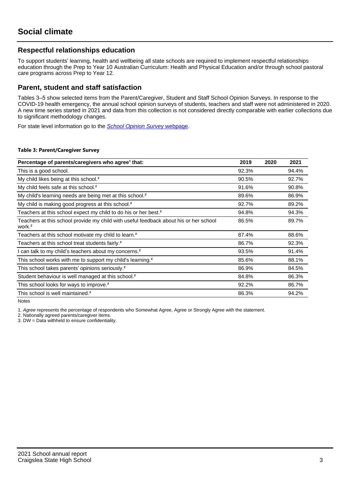# **Respectful relationships education**

To support students' learning, health and wellbeing all state schools are required to implement respectful relationships education through the Prep to Year 10 Australian Curriculum: Health and Physical Education and/or through school pastoral care programs across Prep to Year 12.

## **Parent, student and staff satisfaction**

Tables 3–5 show selected items from the Parent/Caregiver, Student and Staff School Opinion Surveys. In response to the COVID-19 health emergency, the annual school opinion surveys of students, teachers and staff were not administered in 2020. A new time series started in 2021 and data from this collection is not considered directly comparable with earlier collections due to significant methodology changes.

For state level information go to the **[School Opinion Survey](https://qed.qld.gov.au/publications/reports/statistics/schooling/schools/schoolopinionsurvey) webpage**.

#### **Table 3: Parent/Caregiver Survey**

| Percentage of parents/caregivers who agree <sup>1</sup> that:                                               | 2019  | 2020 | 2021  |
|-------------------------------------------------------------------------------------------------------------|-------|------|-------|
| This is a good school.                                                                                      | 92.3% |      | 94.4% |
| My child likes being at this school. <sup>2</sup>                                                           | 90.5% |      | 92.7% |
| My child feels safe at this school. <sup>2</sup>                                                            | 91.6% |      | 90.8% |
| My child's learning needs are being met at this school. <sup>2</sup>                                        | 89.6% |      | 86.9% |
| My child is making good progress at this school. <sup>2</sup>                                               | 92.7% |      | 89.2% |
| Teachers at this school expect my child to do his or her best. <sup>2</sup>                                 | 94.8% |      | 94.3% |
| Teachers at this school provide my child with useful feedback about his or her school<br>work. <sup>2</sup> | 86.5% |      | 89.7% |
| Teachers at this school motivate my child to learn. <sup>2</sup>                                            | 87.4% |      | 88.6% |
| Teachers at this school treat students fairly. <sup>2</sup>                                                 | 86.7% |      | 92.3% |
| can talk to my child's teachers about my concerns. <sup>2</sup>                                             | 93.5% |      | 91.4% |
| This school works with me to support my child's learning. <sup>2</sup>                                      | 85.6% |      | 88.1% |
| This school takes parents' opinions seriously. <sup>2</sup>                                                 | 86.9% |      | 84.5% |
| Student behaviour is well managed at this school. <sup>2</sup>                                              | 84.8% |      | 86.3% |
| This school looks for ways to improve. <sup>2</sup>                                                         | 92.2% |      | 86.7% |
| This school is well maintained. <sup>2</sup>                                                                | 86.3% |      | 94.2% |

Notes

1. Agree represents the percentage of respondents who Somewhat Agree, Agree or Strongly Agree with the statement.

2. Nationally agreed parents/caregiver items.

3. DW = Data withheld to ensure confidentiality.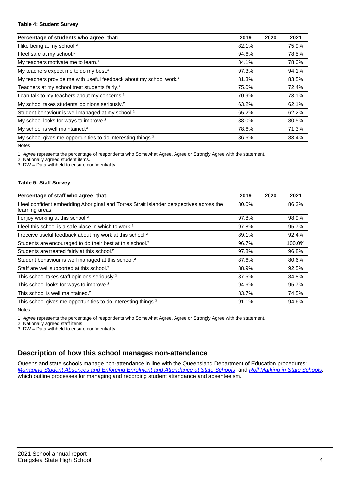#### **Table 4: Student Survey**

| Percentage of students who agree <sup>1</sup> that:                            | 2019  | 2020 | 2021  |
|--------------------------------------------------------------------------------|-------|------|-------|
| I like being at my school. <sup>2</sup>                                        | 82.1% |      | 75.9% |
| I feel safe at my school. <sup>2</sup>                                         | 94.6% |      | 78.5% |
| My teachers motivate me to learn. <sup>2</sup>                                 | 84.1% |      | 78.0% |
| My teachers expect me to do my best. <sup>2</sup>                              | 97.3% |      | 94.1% |
| My teachers provide me with useful feedback about my school work. <sup>2</sup> | 81.3% |      | 83.5% |
| Teachers at my school treat students fairly. <sup>2</sup>                      | 75.0% |      | 72.4% |
| I can talk to my teachers about my concerns. <sup>2</sup>                      | 70.9% |      | 73.1% |
| My school takes students' opinions seriously. <sup>2</sup>                     | 63.2% |      | 62.1% |
| Student behaviour is well managed at my school. <sup>2</sup>                   | 65.2% |      | 62.2% |
| My school looks for ways to improve. <sup>2</sup>                              | 88.0% |      | 80.5% |
| My school is well maintained. <sup>2</sup>                                     | 78.6% |      | 71.3% |
| My school gives me opportunities to do interesting things. <sup>2</sup>        | 86.6% |      | 83.4% |

Notes

1. Agree represents the percentage of respondents who Somewhat Agree, Agree or Strongly Agree with the statement.

2. Nationally agreed student items.

3. DW = Data withheld to ensure confidentiality.

### **Table 5: Staff Survey**

| Percentage of staff who agree <sup>1</sup> that:                                                            | 2019  | 2020 | 2021   |
|-------------------------------------------------------------------------------------------------------------|-------|------|--------|
| I feel confident embedding Aboriginal and Torres Strait Islander perspectives across the<br>learning areas. | 80.0% |      | 86.3%  |
| I enjoy working at this school. <sup>2</sup>                                                                | 97.8% |      | 98.9%  |
| I feel this school is a safe place in which to work. <sup>2</sup>                                           | 97.8% |      | 95.7%  |
| I receive useful feedback about my work at this school. <sup>2</sup>                                        | 89.1% |      | 92.4%  |
| Students are encouraged to do their best at this school. <sup>2</sup>                                       | 96.7% |      | 100.0% |
| Students are treated fairly at this school. <sup>2</sup>                                                    | 97.8% |      | 96.8%  |
| Student behaviour is well managed at this school. <sup>2</sup>                                              | 87.6% |      | 80.6%  |
| Staff are well supported at this school. <sup>2</sup>                                                       | 88.9% |      | 92.5%  |
| This school takes staff opinions seriously. <sup>2</sup>                                                    | 87.5% |      | 84.8%  |
| This school looks for ways to improve. <sup>2</sup>                                                         | 94.6% |      | 95.7%  |
| This school is well maintained. <sup>2</sup>                                                                | 83.7% |      | 74.5%  |
| This school gives me opportunities to do interesting things. <sup>2</sup>                                   | 91.1% |      | 94.6%  |

Notes

1. Agree represents the percentage of respondents who Somewhat Agree, Agree or Strongly Agree with the statement.

2. Nationally agreed staff items.

3. DW = Data withheld to ensure confidentiality.

# **Description of how this school manages non-attendance**

Queensland state schools manage non-attendance in line with the Queensland Department of Education procedures: [Managing Student Absences and Enforcing Enrolment and Attendance at State Schools](https://ppr.qed.qld.gov.au/pp/managing-student-absences-and-enforcing-enrolment-and-attendance-at-state-schools-procedure); and [Roll Marking in State Schools,](https://ppr.qed.qld.gov.au/pp/roll-marking-in-state-schools-procedure) which outline processes for managing and recording student attendance and absenteeism.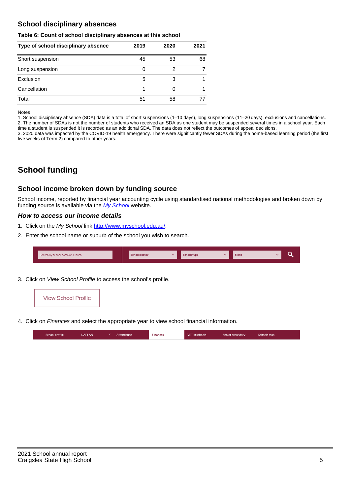# **School disciplinary absences**

#### **Table 6: Count of school disciplinary absences at this school**

| Type of school disciplinary absence | 2019 | 2020 | 2021 |
|-------------------------------------|------|------|------|
| Short suspension                    | 45   | 53   | 68   |
| Long suspension                     | 0    | 2    |      |
| Exclusion                           | 5    | 3    |      |
| Cancellation                        |      |      |      |
| Total                               | 51   | 58   |      |

Notes

1. School disciplinary absence (SDA) data is a total of short suspensions (1–10 days), long suspensions (11–20 days), exclusions and cancellations. 2. The number of SDAs is not the number of students who received an SDA as one student may be suspended several times in a school year. Each time a student is suspended it is recorded as an additional SDA. The data does not reflect the outcomes of appeal decisions.

3. 2020 data was impacted by the COVID-19 health emergency. There were significantly fewer SDAs during the home-based learning period (the first five weeks of Term 2) compared to other years.

# **School funding**

## **School income broken down by funding source**

School income, reported by financial year accounting cycle using standardised national methodologies and broken down by funding source is available via the [My School](http://www.myschool.edu.au/) website.

## **How to access our income details**

- 1. Click on the My School link <http://www.myschool.edu.au/>.
- 2. Enter the school name or suburb of the school you wish to search.

| Search by school name or suburb | <b>School sector</b> | School type | <b>State</b> |  |
|---------------------------------|----------------------|-------------|--------------|--|
|                                 |                      |             |              |  |

3. Click on View School Profile to access the school's profile.



4. Click on Finances and select the appropriate year to view school financial information.

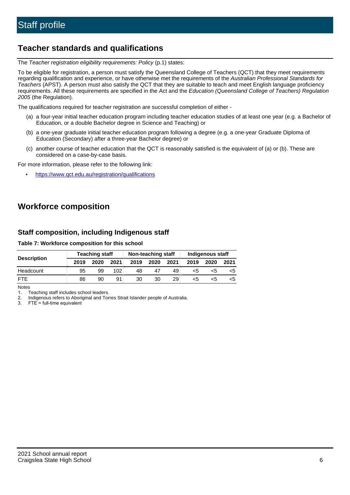# **Teacher standards and qualifications**

The Teacher registration eligibility requirements: Policy (p.1) states:

To be eligible for registration, a person must satisfy the Queensland College of Teachers (QCT) that they meet requirements regarding qualification and experience, or have otherwise met the requirements of the Australian Professional Standards for Teachers (APST). A person must also satisfy the QCT that they are suitable to teach and meet English language proficiency requirements. All these requirements are specified in the Act and the Education (Queensland College of Teachers) Regulation 2005 (the Regulation).

The qualifications required for teacher registration are successful completion of either -

- (a) a four-year initial teacher education program including teacher education studies of at least one year (e.g. a Bachelor of Education, or a double Bachelor degree in Science and Teaching) or
- (b) a one-year graduate initial teacher education program following a degree (e.g. a one-year Graduate Diploma of Education (Secondary) after a three-year Bachelor degree) or
- (c) another course of teacher education that the QCT is reasonably satisfied is the equivalent of (a) or (b). These are considered on a case-by-case basis.

For more information, please refer to the following link:

• <https://www.qct.edu.au/registration/qualifications>

# **Workforce composition**

# **Staff composition, including Indigenous staff**

### **Table 7: Workforce composition for this school**

|                    | <b>Teaching staff</b> |      |      | Non-teaching staff |      |      | Indigenous staff |      |      |
|--------------------|-----------------------|------|------|--------------------|------|------|------------------|------|------|
| <b>Description</b> | 2019                  | 2020 | 2021 | 2019               | 2020 | 2021 | 2019             | 2020 | 2021 |
| Headcount          | 95                    | 99   | 102  | 48                 | 47   | 49   | <5               | <5   |      |
| <b>FTE</b>         | 86                    | 90   | 91   | 30                 | 30   | 29   | <5               | ה>   | ה>   |

Notes

1. Teaching staff includes school leaders.

2. Indigenous refers to Aboriginal and Torres Strait Islander people of Australia.

3. FTE = full-time equivalent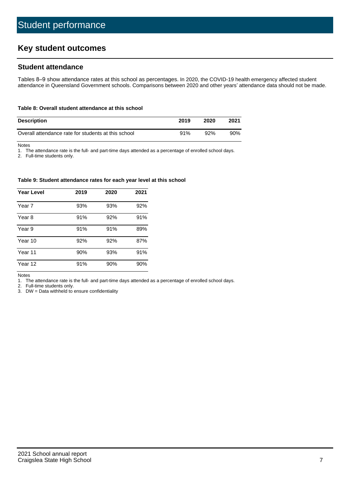# **Key student outcomes**

## **Student attendance**

Tables 8–9 show attendance rates at this school as percentages. In 2020, the COVID-19 health emergency affected student attendance in Queensland Government schools. Comparisons between 2020 and other years' attendance data should not be made.

#### **Table 8: Overall student attendance at this school**

| <b>Description</b>                                  | 2019 | 2020 | 2021 |
|-----------------------------------------------------|------|------|------|
| Overall attendance rate for students at this school | 91%  | 92%  | 90%  |

Notes

1. The attendance rate is the full- and part-time days attended as a percentage of enrolled school days.

2. Full-time students only.

#### **Table 9: Student attendance rates for each year level at this school**

| <b>Year Level</b> | 2019 | 2020 | 2021 |
|-------------------|------|------|------|
| Year 7            | 93%  | 93%  | 92%  |
| Year 8            | 91%  | 92%  | 91%  |
| Year 9            | 91%  | 91%  | 89%  |
| Year 10           | 92%  | 92%  | 87%  |
| Year 11           | 90%  | 93%  | 91%  |
| Year 12           | 91%  | 90%  | 90%  |

Notes

1. The attendance rate is the full- and part-time days attended as a percentage of enrolled school days.

2. Full-time students only.

3. DW = Data withheld to ensure confidentiality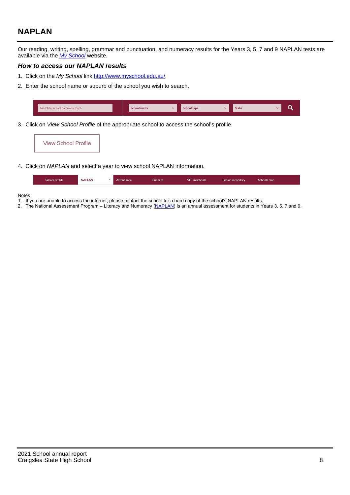# **NAPLAN**

Our reading, writing, spelling, grammar and punctuation, and numeracy results for the Years 3, 5, 7 and 9 NAPLAN tests are available via the [My School](http://www.myschool.edu.au/) website.

## **How to access our NAPLAN results**

- 1. Click on the My School link <http://www.myschool.edu.au/>.
- 2. Enter the school name or suburb of the school you wish to search.

| Search by school name or suburb | <b>School sector</b> | <b>School type</b>                        |          | <b>State</b> |  |
|---------------------------------|----------------------|-------------------------------------------|----------|--------------|--|
|                                 |                      |                                           |          |              |  |
|                                 |                      | $\sim$ $\sim$ $\sim$ $\sim$ $\sim$ $\sim$ | $\cdots$ |              |  |

3. Click on View School Profile of the appropriate school to access the school's profile.

| <b>View School Profile</b> |
|----------------------------|
|----------------------------|

4. Click on NAPLAN and select a year to view school NAPLAN information.

|  | School profile | <b>NAPLAN</b><br>$\sim$ 1 | Attendance | <b>Finances</b> | <b>VET</b> in schools | Senior secondary | Schools map |
|--|----------------|---------------------------|------------|-----------------|-----------------------|------------------|-------------|
|--|----------------|---------------------------|------------|-----------------|-----------------------|------------------|-------------|

#### Notes

- 1. If you are unable to access the internet, please contact the school for a hard copy of the school's NAPLAN results.
- 2. The National Assessment Program Literacy and Numeracy ([NAPLAN\)](http://www.nap.edu.au/naplan) is an annual assessment for students in Years 3, 5, 7 and 9.